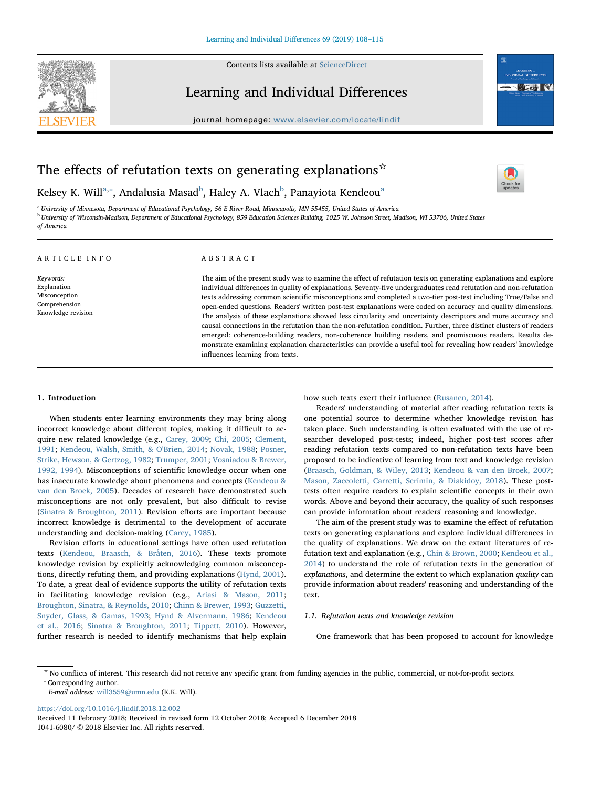Contents lists available at [ScienceDirect](http://www.sciencedirect.com/science/journal/10416080)

## Learning and Individual Differences

journal homepage: [www.elsevier.com/locate/lindif](https://www.elsevier.com/locate/lindif)



# The effects of refutation texts on generating explanations  $\dot{\alpha}$



Kelsey K. Will $^{\rm a, *}$  $^{\rm a, *}$  $^{\rm a, *}$ , And[a](#page-0-0)lusia Masad $^{\rm b}$  $^{\rm b}$  $^{\rm b}$ , Haley A. Vlach $^{\rm b}$ , Panayiota Kendeou $^{\rm a}$ 

<span id="page-0-2"></span><span id="page-0-0"></span><sup>a</sup> University of Minnesota, Department of Educational Psychology, 56 E River Road, Minneapolis, MN 55455, United States of America <sup>b</sup> University of Wisconsin-Madison, Department of Educational Psychology, 859 Education Sciences Building, 1025 W. Johnson Street, Madison, WI 53706, United States of America

| ARTICLE INFO                                                                     | ABSTRACT                                                                                                                                                                                                                                                                                                                                                                                                                                                                                                                                                                                                                                                                                                                                                                                                                                                                                                                                                                         |
|----------------------------------------------------------------------------------|----------------------------------------------------------------------------------------------------------------------------------------------------------------------------------------------------------------------------------------------------------------------------------------------------------------------------------------------------------------------------------------------------------------------------------------------------------------------------------------------------------------------------------------------------------------------------------------------------------------------------------------------------------------------------------------------------------------------------------------------------------------------------------------------------------------------------------------------------------------------------------------------------------------------------------------------------------------------------------|
| Keywords:<br>Explanation<br>Misconception<br>Comprehension<br>Knowledge revision | The aim of the present study was to examine the effect of refutation texts on generating explanations and explore<br>individual differences in quality of explanations. Seventy-five undergraduates read refutation and non-refutation<br>texts addressing common scientific misconceptions and completed a two-tier post-test including True/False and<br>open-ended questions. Readers' written post-test explanations were coded on accuracy and quality dimensions.<br>The analysis of these explanations showed less circularity and uncertainty descriptors and more accuracy and<br>causal connections in the refutation than the non-refutation condition. Further, three distinct clusters of readers<br>emerged: coherence-building readers, non-coherence building readers, and promiscuous readers. Results de-<br>monstrate examining explanation characteristics can provide a useful tool for revealing how readers' knowledge<br>influences learning from texts. |

## 1. Introduction

When students enter learning environments they may bring along incorrect knowledge about different topics, making it difficult to acquire new related knowledge (e.g., [Carey, 2009;](#page-6-0) [Chi, 2005;](#page-6-1) [Clement,](#page-6-2) [1991;](#page-6-2) [Kendeou, Walsh, Smith, & O'Brien, 2014;](#page-6-3) [Novak, 1988;](#page-6-4) [Posner,](#page-6-5) [Strike, Hewson, & Gertzog, 1982;](#page-6-5) [Trumper, 2001;](#page-6-6) [Vosniadou & Brewer,](#page-7-0) [1992, 1994\)](#page-7-0). Misconceptions of scientific knowledge occur when one has inaccurate knowledge about phenomena and concepts ([Kendeou &](#page-6-7) [van den Broek, 2005](#page-6-7)). Decades of research have demonstrated such misconceptions are not only prevalent, but also difficult to revise ([Sinatra & Broughton, 2011](#page-6-8)). Revision efforts are important because incorrect knowledge is detrimental to the development of accurate understanding and decision-making [\(Carey, 1985](#page-6-9)).

Revision efforts in educational settings have often used refutation texts [\(Kendeou, Braasch, & Bråten, 2016\)](#page-6-10). These texts promote knowledge revision by explicitly acknowledging common misconceptions, directly refuting them, and providing explanations ([Hynd, 2001](#page-6-11)). To date, a great deal of evidence supports the utility of refutation texts in facilitating knowledge revision (e.g., [Ariasi & Mason, 2011](#page-6-12); [Broughton, Sinatra, & Reynolds, 2010](#page-6-13); [Chinn & Brewer, 1993;](#page-6-14) [Guzzetti,](#page-6-15) [Snyder, Glass, & Gamas, 1993;](#page-6-15) [Hynd & Alvermann, 1986;](#page-6-16) [Kendeou](#page-6-10) [et al., 2016;](#page-6-10) [Sinatra & Broughton, 2011;](#page-6-8) [Tippett, 2010](#page-6-17)). However, further research is needed to identify mechanisms that help explain

how such texts exert their influence [\(Rusanen, 2014\)](#page-6-18).

Readers' understanding of material after reading refutation texts is one potential source to determine whether knowledge revision has taken place. Such understanding is often evaluated with the use of researcher developed post-tests; indeed, higher post-test scores after reading refutation texts compared to non-refutation texts have been proposed to be indicative of learning from text and knowledge revision ([Braasch, Goldman, & Wiley, 2013](#page-6-19); [Kendeou & van den Broek, 2007](#page-6-20); [Mason, Zaccoletti, Carretti, Scrimin, & Diakidoy, 2018](#page-6-21)). These posttests often require readers to explain scientific concepts in their own words. Above and beyond their accuracy, the quality of such responses can provide information about readers' reasoning and knowledge.

The aim of the present study was to examine the effect of refutation texts on generating explanations and explore individual differences in the quality of explanations. We draw on the extant literatures of refutation text and explanation (e.g., [Chin & Brown, 2000](#page-6-22); [Kendeou et al.,](#page-6-3) [2014\)](#page-6-3) to understand the role of refutation texts in the generation of explanations, and determine the extent to which explanation quality can provide information about readers' reasoning and understanding of the text.

## 1.1. Refutation texts and knowledge revision

One framework that has been proposed to account for knowledge

E-mail address: [will3559@umn.edu](mailto:will3559@umn.edu) (K.K. Will).

<https://doi.org/10.1016/j.lindif.2018.12.002>

<span id="page-0-1"></span><sup>☆</sup> No conflicts of interest. This research did not receive any specific grant from funding agencies in the public, commercial, or not-for-profit sectors. ⁎ Corresponding author.

Received 11 February 2018; Received in revised form 12 October 2018; Accepted 6 December 2018 1041-6080/ © 2018 Elsevier Inc. All rights reserved.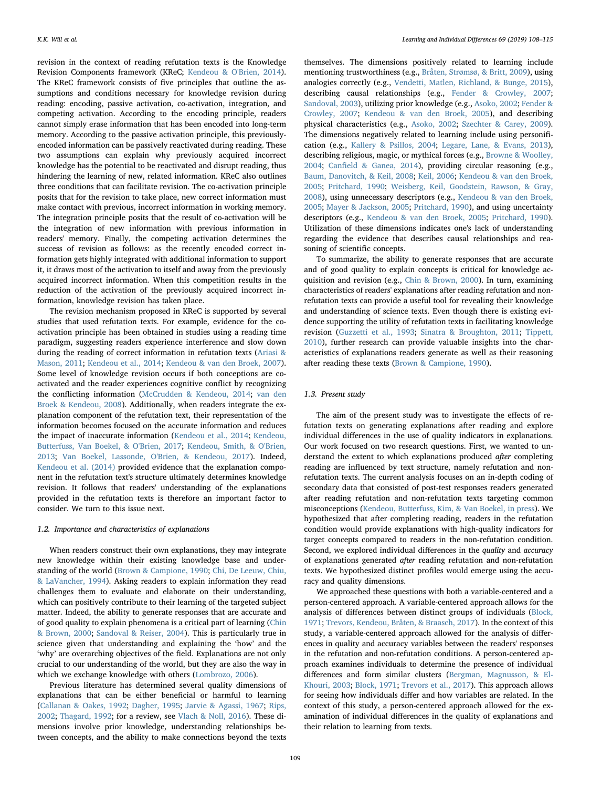revision in the context of reading refutation texts is the Knowledge Revision Components framework (KReC; [Kendeou & O'Brien, 2014](#page-6-23)). The KReC framework consists of five principles that outline the assumptions and conditions necessary for knowledge revision during reading: encoding, passive activation, co-activation, integration, and competing activation. According to the encoding principle, readers cannot simply erase information that has been encoded into long-term memory. According to the passive activation principle, this previouslyencoded information can be passively reactivated during reading. These two assumptions can explain why previously acquired incorrect knowledge has the potential to be reactivated and disrupt reading, thus hindering the learning of new, related information. KReC also outlines three conditions that can facilitate revision. The co-activation principle posits that for the revision to take place, new correct information must make contact with previous, incorrect information in working memory. The integration principle posits that the result of co-activation will be the integration of new information with previous information in readers' memory. Finally, the competing activation determines the success of revision as follows: as the recently encoded correct information gets highly integrated with additional information to support it, it draws most of the activation to itself and away from the previously acquired incorrect information. When this competition results in the reduction of the activation of the previously acquired incorrect information, knowledge revision has taken place.

The revision mechanism proposed in KReC is supported by several studies that used refutation texts. For example, evidence for the coactivation principle has been obtained in studies using a reading time paradigm, suggesting readers experience interference and slow down during the reading of correct information in refutation texts ([Ariasi &](#page-6-12) [Mason, 2011;](#page-6-12) [Kendeou et al., 2014;](#page-6-3) [Kendeou & van den Broek, 2007](#page-6-20)). Some level of knowledge revision occurs if both conceptions are coactivated and the reader experiences cognitive conflict by recognizing the conflicting information [\(McCrudden & Kendeou, 2014;](#page-6-24) [van den](#page-6-25) [Broek & Kendeou, 2008\)](#page-6-25). Additionally, when readers integrate the explanation component of the refutation text, their representation of the information becomes focused on the accurate information and reduces the impact of inaccurate information ([Kendeou et al., 2014;](#page-6-3) [Kendeou,](#page-6-26) [Butterfuss, Van Boekel, & O'Brien, 2017](#page-6-26); [Kendeou, Smith, & O'Brien,](#page-6-27) [2013;](#page-6-27) [Van Boekel, Lassonde, O'Brien, & Kendeou, 2017](#page-6-28)). Indeed, [Kendeou et al. \(2014\)](#page-6-3) provided evidence that the explanation component in the refutation text's structure ultimately determines knowledge revision. It follows that readers' understanding of the explanations provided in the refutation texts is therefore an important factor to consider. We turn to this issue next.

## 1.2. Importance and characteristics of explanations

When readers construct their own explanations, they may integrate new knowledge within their existing knowledge base and understanding of the world ([Brown & Campione, 1990;](#page-6-29) [Chi, De Leeuw, Chiu,](#page-6-30) [& LaVancher, 1994\)](#page-6-30). Asking readers to explain information they read challenges them to evaluate and elaborate on their understanding, which can positively contribute to their learning of the targeted subject matter. Indeed, the ability to generate responses that are accurate and of good quality to explain phenomena is a critical part of learning [\(Chin](#page-6-22) [& Brown, 2000](#page-6-22); [Sandoval & Reiser, 2004\)](#page-6-31). This is particularly true in science given that understanding and explaining the 'how' and the 'why' are overarching objectives of the field. Explanations are not only crucial to our understanding of the world, but they are also the way in which we exchange knowledge with others [\(Lombrozo,](#page-6-32) 2006).

Previous literature has determined several quality dimensions of explanations that can be either beneficial or harmful to learning ([Callanan & Oakes, 1992;](#page-6-33) [Dagher, 1995;](#page-6-34) [Jarvie & Agassi, 1967;](#page-6-35) [Rips,](#page-6-36) [2002;](#page-6-36) [Thagard, 1992;](#page-6-37) for a review, see [Vlach & Noll, 2016](#page-7-1)). These dimensions involve prior knowledge, understanding relationships between concepts, and the ability to make connections beyond the texts

themselves. The dimensions positively related to learning include mentioning trustworthiness (e.g., [Bråten, Strømsø, & Britt, 2009](#page-6-38)), using analogies correctly (e.g., [Vendetti, Matlen, Richland, & Bunge, 2015](#page-7-2)), describing causal relationships (e.g., [Fender & Crowley, 2007](#page-6-39); [Sandoval, 2003\)](#page-6-40), utilizing prior knowledge (e.g., [Asoko, 2002;](#page-6-41) [Fender &](#page-6-39) [Crowley, 2007;](#page-6-39) [Kendeou & van den Broek, 2005\)](#page-6-7), and describing physical characteristics (e.g., [Asoko, 2002;](#page-6-41) [Szechter & Carey, 2009](#page-6-42)). The dimensions negatively related to learning include using personification (e.g., [Kallery & Psillos, 2004](#page-6-43); [Legare, Lane, & Evans, 2013](#page-6-44)), describing religious, magic, or mythical forces (e.g., [Browne & Woolley,](#page-6-45) [2004;](#page-6-45) Canfi[eld & Ganea, 2014\)](#page-6-46), providing circular reasoning (e.g., [Baum, Danovitch, & Keil, 2008;](#page-6-47) [Keil, 2006](#page-6-48); [Kendeou & van den Broek,](#page-6-7) [2005;](#page-6-7) [Pritchard, 1990;](#page-6-49) [Weisberg, Keil, Goodstein, Rawson, & Gray,](#page-7-3) [2008\)](#page-7-3), using unnecessary descriptors (e.g., [Kendeou & van den Broek,](#page-6-7) [2005;](#page-6-7) [Mayer & Jackson, 2005;](#page-6-50) [Pritchard, 1990\)](#page-6-49), and using uncertainty descriptors (e.g., [Kendeou & van den Broek, 2005](#page-6-7); [Pritchard, 1990](#page-6-49)). Utilization of these dimensions indicates one's lack of understanding regarding the evidence that describes causal relationships and reasoning of scientific concepts.

To summarize, the ability to generate responses that are accurate and of good quality to explain concepts is critical for knowledge acquisition and revision (e.g., [Chin & Brown, 2000](#page-6-22)). In turn, examining characteristics of readers' explanations after reading refutation and nonrefutation texts can provide a useful tool for revealing their knowledge and understanding of science texts. Even though there is existing evidence supporting the utility of refutation texts in facilitating knowledge revision (Guzzetti [et al., 1993;](#page-6-15) [Sinatra & Broughton, 2011;](#page-6-8) [Tippett,](#page-6-17) [2010\)](#page-6-17), further research can provide valuable insights into the characteristics of explanations readers generate as well as their reasoning after reading these texts [\(Brown & Campione, 1990](#page-6-29)).

## 1.3. Present study

The aim of the present study was to investigate the effects of refutation texts on generating explanations after reading and explore individual differences in the use of quality indicators in explanations. Our work focused on two research questions. First, we wanted to understand the extent to which explanations produced after completing reading are influenced by text structure, namely refutation and nonrefutation texts. The current analysis focuses on an in-depth coding of secondary data that consisted of post-test responses readers generated after reading refutation and non-refutation texts targeting common misconceptions ([Kendeou, Butterfuss, Kim, & Van Boekel, in press\)](#page-6-51). We hypothesized that after completing reading, readers in the refutation condition would provide explanations with high-quality indicators for target concepts compared to readers in the non-refutation condition. Second, we explored individual differences in the quality and accuracy of explanations generated after reading refutation and non-refutation texts. We hypothesized distinct profiles would emerge using the accuracy and quality dimensions.

We approached these questions with both a variable-centered and a person-centered approach. A variable-centered approach allows for the analysis of differences between distinct groups of individuals ([Block,](#page-6-52) [1971;](#page-6-52) [Trevors, Kendeou, Bråten, & Braasch, 2017\)](#page-6-53). In the context of this study, a variable-centered approach allowed for the analysis of differences in quality and accuracy variables between the readers' responses in the refutation and non-refutation conditions. A person-centered approach examines individuals to determine the presence of individual differences and form similar clusters ([Bergman, Magnusson, & El-](#page-6-54)[Khouri, 2003](#page-6-54); [Block, 1971](#page-6-52); [Trevors et al., 2017\)](#page-6-53). This approach allows for seeing how individuals differ and how variables are related. In the context of this study, a person-centered approach allowed for the examination of individual differences in the quality of explanations and their relation to learning from texts.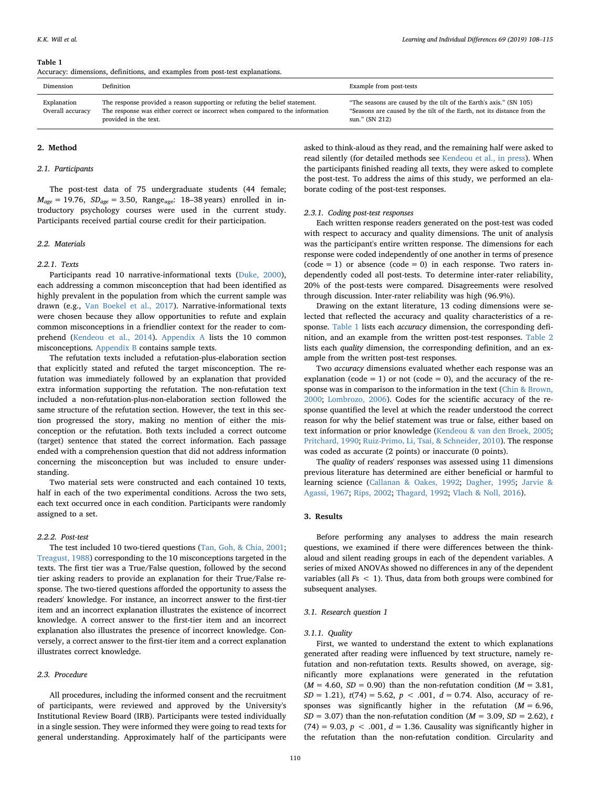#### <span id="page-2-0"></span>Table 1

Accuracy: dimensions, definitions, and examples from post-test explanations.

| Dimension                       | Definition                                                                                                                                                                            | Example from post-tests                                                                                                                                         |
|---------------------------------|---------------------------------------------------------------------------------------------------------------------------------------------------------------------------------------|-----------------------------------------------------------------------------------------------------------------------------------------------------------------|
| Explanation<br>Overall accuracy | The response provided a reason supporting or refuting the belief statement.<br>The response was either correct or incorrect when compared to the information<br>provided in the text. | "The seasons are caused by the tilt of the Earth's axis." (SN 105)<br>"Seasons are caused by the tilt of the Earth, not its distance from the<br>sun." (SN 212) |

## 2. Method

## 2.1. Participants

The post-test data of 75 undergraduate students (44 female;  $M_{age} = 19.76$ ,  $SD_{age} = 3.50$ , Range<sub>age</sub>: 18–38 years) enrolled in introductory psychology courses were used in the current study. Participants received partial course credit for their participation.

## 2.2. Materials

#### 2.2.1. Texts

Participants read 10 narrative-informational texts ([Duke, 2000](#page-6-55)), each addressing a common misconception that had been identified as highly prevalent in the population from which the current sample was drawn (e.g., [Van Boekel et al., 2017\)](#page-6-28). Narrative-informational texts were chosen because they allow opportunities to refute and explain common misconceptions in a friendlier context for the reader to comprehend ([Kendeou et al., 2014](#page-6-3)). [Appendix A](#page-5-0) lists the 10 common misconceptions. [Appendix B](#page-5-1) contains sample texts.

The refutation texts included a refutation-plus-elaboration section that explicitly stated and refuted the target misconception. The refutation was immediately followed by an explanation that provided extra information supporting the refutation. The non-refutation text included a non-refutation-plus-non-elaboration section followed the same structure of the refutation section. However, the text in this section progressed the story, making no mention of either the misconception or the refutation. Both texts included a correct outcome (target) sentence that stated the correct information. Each passage ended with a comprehension question that did not address information concerning the misconception but was included to ensure understanding.

Two material sets were constructed and each contained 10 texts, half in each of the two experimental conditions. Across the two sets, each text occurred once in each condition. Participants were randomly assigned to a set.

#### 2.2.2. Post-test

The test included 10 two-tiered questions ([Tan, Goh, & Chia, 2001](#page-6-56); [Treagust, 1988](#page-6-57)) corresponding to the 10 misconceptions targeted in the texts. The first tier was a True/False question, followed by the second tier asking readers to provide an explanation for their True/False response. The two-tiered questions afforded the opportunity to assess the readers' knowledge. For instance, an incorrect answer to the first-tier item and an incorrect explanation illustrates the existence of incorrect knowledge. A correct answer to the first-tier item and an incorrect explanation also illustrates the presence of incorrect knowledge. Conversely, a correct answer to the first-tier item and a correct explanation illustrates correct knowledge.

## 2.3. Procedure

All procedures, including the informed consent and the recruitment of participants, were reviewed and approved by the University's Institutional Review Board (IRB). Participants were tested individually in a single session. They were informed they were going to read texts for general understanding. Approximately half of the participants were

asked to think-aloud as they read, and the remaining half were asked to read silently (for detailed methods see [Kendeou et al., in press](#page-6-51)). When the participants finished reading all texts, they were asked to complete the post-test. To address the aims of this study, we performed an elaborate coding of the post-test responses.

## 2.3.1. Coding post-test responses

Each written response readers generated on the post-test was coded with respect to accuracy and quality dimensions. The unit of analysis was the participant's entire written response. The dimensions for each response were coded independently of one another in terms of presence  $(code = 1)$  or absence  $(code = 0)$  in each response. Two raters independently coded all post-tests. To determine inter-rater reliability, 20% of the post-tests were compared. Disagreements were resolved through discussion. Inter-rater reliability was high (96.9%).

Drawing on the extant literature, 13 coding dimensions were selected that reflected the accuracy and quality characteristics of a response. [Table 1](#page-2-0) lists each accuracy dimension, the corresponding definition, and an example from the written post-test responses. [Table 2](#page-3-0) lists each quality dimension, the corresponding definition, and an example from the written post-test responses.

Two accuracy dimensions evaluated whether each response was an explanation (code = 1) or not (code = 0), and the accuracy of the response was in comparison to the information in the text [\(Chin & Brown,](#page-6-22) [2000;](#page-6-22) [Lombrozo, 2006\)](#page-6-32). Codes for the scientific accuracy of the response quantified the level at which the reader understood the correct reason for why the belief statement was true or false, either based on text information or prior knowledge [\(Kendeou & van den Broek, 2005](#page-6-7); [Pritchard, 1990;](#page-6-49) [Ruiz-Primo, Li, Tsai, & Schneider, 2010](#page-6-58)). The response was coded as accurate (2 points) or inaccurate (0 points).

The quality of readers' responses was assessed using 11 dimensions previous literature has determined are either beneficial or harmful to learning science ([Callanan & Oakes, 1992](#page-6-33); [Dagher, 1995;](#page-6-34) [Jarvie &](#page-6-35) [Agassi, 1967;](#page-6-35) [Rips, 2002;](#page-6-36) [Thagard, 1992;](#page-6-37) [Vlach & Noll, 2016](#page-7-1)).

#### 3. Results

Before performing any analyses to address the main research questions, we examined if there were differences between the thinkaloud and silent reading groups in each of the dependent variables. A series of mixed ANOVAs showed no differences in any of the dependent variables (all  $Fs < 1$ ). Thus, data from both groups were combined for subsequent analyses.

## 3.1. Research question 1

## 3.1.1. Quality

First, we wanted to understand the extent to which explanations generated after reading were influenced by text structure, namely refutation and non-refutation texts. Results showed, on average, significantly more explanations were generated in the refutation  $(M = 4.60, SD = 0.90)$  than the non-refutation condition  $(M = 3.81,$  $SD = 1.21$ ,  $t(74) = 5.62$ ,  $p < .001$ ,  $d = 0.74$ . Also, accuracy of responses was significantly higher in the refutation  $(M = 6.96,$  $SD = 3.07$ ) than the non-refutation condition ( $M = 3.09$ ,  $SD = 2.62$ ), t  $(74) = 9.03$ ,  $p < .001$ ,  $d = 1.36$ . Causality was significantly higher in the refutation than the non-refutation condition. Circularity and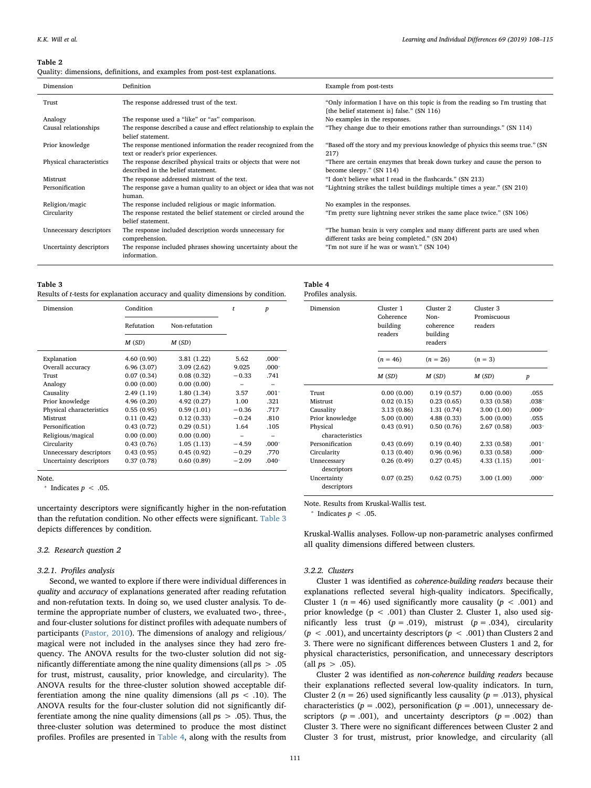#### <span id="page-3-0"></span>Table 2

Quality: dimensions, definitions, and examples from post-test explanations.

| Dimension                | Definition                                                                                               | Example from post-tests                                                                                                       |
|--------------------------|----------------------------------------------------------------------------------------------------------|-------------------------------------------------------------------------------------------------------------------------------|
| Trust                    | The response addressed trust of the text.                                                                | "Only information I have on this topic is from the reading so I'm trusting that<br>[the belief statement is] false." (SN 116) |
| Analogy                  | The response used a "like" or "as" comparison.                                                           | No examples in the responses.                                                                                                 |
| Causal relationships     | The response described a cause and effect relationship to explain the<br>belief statement.               | "They change due to their emotions rather than surroundings." (SN 114)                                                        |
| Prior knowledge          | The response mentioned information the reader recognized from the<br>text or reader's prior experiences. | "Based off the story and my previous knowledge of physics this seems true." (SN<br>217)                                       |
| Physical characteristics | The response described physical traits or objects that were not<br>described in the belief statement.    | "There are certain enzymes that break down turkey and cause the person to<br>become sleepy." (SN 114)                         |
| Mistrust                 | The response addressed mistrust of the text.                                                             | "I don't believe what I read in the flashcards." (SN 213)                                                                     |
| Personification          | The response gave a human quality to an object or idea that was not<br>human.                            | "Lightning strikes the tallest buildings multiple times a year." (SN 210)                                                     |
| Religion/magic           | The response included religious or magic information.                                                    | No examples in the responses.                                                                                                 |
| Circularity              | The response restated the belief statement or circled around the<br>belief statement.                    | "I'm pretty sure lightning never strikes the same place twice." (SN 106)                                                      |
| Unnecessary descriptors  | The response included description words unnecessary for<br>comprehension.                                | "The human brain is very complex and many different parts are used when<br>different tasks are being completed." (SN 204)     |
| Uncertainty descriptors  | The response included phrases showing uncertainty about the<br>information.                              | "I'm not sure if he was or wasn't." (SN 104)                                                                                  |

#### <span id="page-3-1"></span>Table 3

Results of t-tests for explanation accuracy and quality dimensions by condition.

| Dimension                | Condition   |                | t       | $\boldsymbol{p}$ |
|--------------------------|-------------|----------------|---------|------------------|
|                          | Refutation  | Non-refutation |         |                  |
|                          | M(SD)       | M(SD)          |         |                  |
| Explanation              | 4.60(0.90)  | 3.81(1.22)     | 5.62    | $.000*$          |
| Overall accuracy         | 6.96 (3.07) | 3.09(2.62)     | 9.025   | $.000*$          |
| Trust                    | 0.07(0.34)  | 0.08(0.32)     | $-0.33$ | .741             |
| Analogy                  | 0.00(0.00)  | 0.00(0.00)     |         |                  |
| Causality                | 2.49 (1.19) | 1.80(1.34)     | 3.57    | $.001*$          |
| Prior knowledge          | 4.96 (0.20) | 4.92 (0.27)    | 1.00    | .321             |
| Physical characteristics | 0.55(0.95)  | 0.59(1.01)     | $-0.36$ | .717             |
| Mistrust                 | 0.11(0.42)  | 0.12(0.33)     | $-0.24$ | .810             |
| Personification          | 0.43(0.72)  | 0.29(0.51)     | 1.64    | .105             |
| Religious/magical        | 0.00(0.00)  | 0.00(0.00)     |         | -                |
| Circularity              | 0.43(0.76)  | 1.05(1.13)     | $-4.59$ | $.000*$          |
| Unnecessary descriptors  | 0.43(0.95)  | 0.45(0.92)     | $-0.29$ | .770             |
| Uncertainty descriptors  | 0.37(0.78)  | 0.60(0.89)     | $-2.09$ | $.040*$          |

#### Note.

<span id="page-3-3"></span> $*$  Indicates  $p < .05$ .

uncertainty descriptors were significantly higher in the non-refutation than the refutation condition. No other effects were significant. [Table 3](#page-3-1) depicts differences by condition.

#### 3.2. Research question 2

## 3.2.1. Profiles analysis

Second, we wanted to explore if there were individual differences in quality and accuracy of explanations generated after reading refutation and non-refutation texts. In doing so, we used cluster analysis. To determine the appropriate number of clusters, we evaluated two-, three-, and four-cluster solutions for distinct profiles with adequate numbers of participants [\(Pastor, 2010\)](#page-6-59). The dimensions of analogy and religious/ magical were not included in the analyses since they had zero frequency. The ANOVA results for the two-cluster solution did not significantly differentiate among the nine quality dimensions (all  $ps > .05$ for trust, mistrust, causality, prior knowledge, and circularity). The ANOVA results for the three-cluster solution showed acceptable differentiation among the nine quality dimensions (all  $ps < .10$ ). The ANOVA results for the four-cluster solution did not significantly differentiate among the nine quality dimensions (all  $ps > .05$ ). Thus, the three-cluster solution was determined to produce the most distinct profiles. Profiles are presented in [Table 4,](#page-3-2) along with the results from

<span id="page-3-2"></span>

| Table 4            |
|--------------------|
| Profiles analysis. |

| Dimension                  | Cluster 1<br>Coherence<br>building<br>readers | Cluster <sub>2</sub><br>Non-<br>coherence<br>building<br>readers | Cluster 3<br>Promiscuous<br>readers |                  |
|----------------------------|-----------------------------------------------|------------------------------------------------------------------|-------------------------------------|------------------|
|                            | $(n = 46)$                                    | $(n = 26)$                                                       | $(n = 3)$                           |                  |
|                            | M (SD)                                        | M(SD)                                                            | M(SD)                               | $\boldsymbol{p}$ |
| Trust                      | 0.00(0.00)                                    | 0.19(0.57)                                                       | 0.00(0.00)                          | .055             |
| Mistrust                   | 0.02(0.15)                                    | 0.23(0.65)                                                       | 0.33(0.58)                          | $.038*$          |
| Causality                  | 3.13 (0.86)                                   | 1.31(0.74)                                                       | 3.00(1.00)                          | $.000*$          |
| Prior knowledge            | 5.00(0.00)                                    | 4.88 (0.33)                                                      | 5.00(0.00)                          | .055             |
| Physical                   | 0.43(0.91)                                    | 0.50(0.76)                                                       | 2.67(0.58)                          | $.003*$          |
| characteristics            |                                               |                                                                  |                                     |                  |
| Personification            | 0.43(0.69)                                    | 0.19(0.40)                                                       | 2.33(0.58)                          | $.001*$          |
| Circularity                | 0.13(0.40)                                    | 0.96(0.96)                                                       | 0.33(0.58)                          | $.000*$          |
| Unnecessary<br>descriptors | 0.26(0.49)                                    | 0.27(0.45)                                                       | 4.33(1.15)                          | $.001*$          |
| Uncertainty<br>descriptors | 0.07(0.25)                                    | 0.62(0.75)                                                       | 3.00(1.00)                          | $.000*$          |

Note. Results from Kruskal-Wallis test.

<span id="page-3-4"></span> $*$  Indicates  $p < .05$ .

Kruskal-Wallis analyses. Follow-up non-parametric analyses confirmed all quality dimensions differed between clusters.

### 3.2.2. Clusters

Cluster 1 was identified as coherence-building readers because their explanations reflected several high-quality indicators. Specifically, Cluster 1 ( $n = 46$ ) used significantly more causality ( $p < .001$ ) and prior knowledge (p < .001) than Cluster 2. Cluster 1, also used significantly less trust ( $p = .019$ ), mistrust ( $p = .034$ ), circularity  $(p < .001)$ , and uncertainty descriptors  $(p < .001)$  than Clusters 2 and 3. There were no significant differences between Clusters 1 and 2, for physical characteristics, personification, and unnecessary descriptors (all  $ns > .05$ ).

Cluster 2 was identified as non-coherence building readers because their explanations reflected several low-quality indicators. In turn, Cluster 2 ( $n = 26$ ) used significantly less causality ( $p = .013$ ), physical characteristics ( $p = .002$ ), personification ( $p = .001$ ), unnecessary descriptors ( $p = .001$ ), and uncertainty descriptors ( $p = .002$ ) than Cluster 3. There were no significant differences between Cluster 2 and Cluster 3 for trust, mistrust, prior knowledge, and circularity (all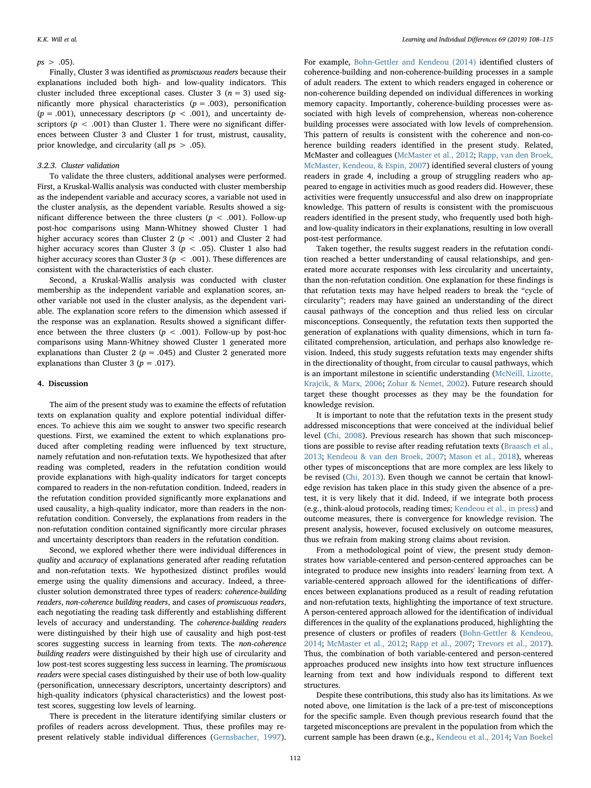### $ps > .05$ ).

Finally, Cluster 3 was identified as promiscuous readers because their explanations included both high- and low-quality indicators. This cluster included three exceptional cases. Cluster 3 ( $n = 3$ ) used significantly more physical characteristics  $(p = .003)$ , personification  $(p = .001)$ , unnecessary descriptors  $(p < .001)$ , and uncertainty descriptors ( $p < .001$ ) than Cluster 1. There were no significant differences between Cluster 3 and Cluster 1 for trust, mistrust, causality, prior knowledge, and circularity (all ps > .05).

## 3.2.3. Cluster validation

To validate the three clusters, additional analyses were performed. First, a Kruskal-Wallis analysis was conducted with cluster membership as the independent variable and accuracy scores, a variable not used in the cluster analysis, as the dependent variable. Results showed a significant difference between the three clusters ( $p < .001$ ). Follow-up post-hoc comparisons using Mann-Whitney showed Cluster 1 had higher accuracy scores than Cluster 2 ( $p < .001$ ) and Cluster 2 had higher accuracy scores than Cluster 3 ( $p < .05$ ). Cluster 1 also had higher accuracy scores than Cluster 3 ( $p < .001$ ). These differences are consistent with the characteristics of each cluster.

Second, a Kruskal-Wallis analysis was conducted with cluster membership as the independent variable and explanation scores, another variable not used in the cluster analysis, as the dependent variable. The explanation score refers to the dimension which assessed if the response was an explanation. Results showed a significant difference between the three clusters ( $p < .001$ ). Follow-up by post-hoc comparisons using Mann-Whitney showed Cluster 1 generated more explanations than Cluster 2 ( $p = .045$ ) and Cluster 2 generated more explanations than Cluster 3 ( $p = .017$ ).

## 4. Discussion

The aim of the present study was to examine the effects of refutation texts on explanation quality and explore potential individual differences. To achieve this aim we sought to answer two specific research questions. First, we examined the extent to which explanations produced after completing reading were influenced by text structure, namely refutation and non-refutation texts. We hypothesized that after reading was completed, readers in the refutation condition would provide explanations with high-quality indicators for target concepts compared to readers in the non-refutation condition. Indeed, readers in the refutation condition provided significantly more explanations and used causality, a high-quality indicator, more than readers in the nonrefutation condition. Conversely, the explanations from readers in the non-refutation condition contained significantly more circular phrases and uncertainty descriptors than readers in the refutation condition.

Second, we explored whether there were individual differences in quality and accuracy of explanations generated after reading refutation and non-refutation texts. We hypothesized distinct profiles would emerge using the quality dimensions and accuracy. Indeed, a threecluster solution demonstrated three types of readers: coherence-building readers, non-coherence building readers, and cases of promiscuous readers, each negotiating the reading task differently and establishing different levels of accuracy and understanding. The coherence-building readers were distinguished by their high use of causality and high post-test scores suggesting success in learning from texts. The non-coherence building readers were distinguished by their high use of circularity and low post-test scores suggesting less success in learning. The promiscuous readers were special cases distinguished by their use of both low-quality (personification, unnecessary descriptors, uncertainty descriptors) and high-quality indicators (physical characteristics) and the lowest posttest scores, suggesting low levels of learning.

There is precedent in the literature identifying similar clusters or profiles of readers across development. Thus, these profiles may represent relatively stable individual differences [\(Gernsbacher, 1997](#page-6-60)).

For example, [Bohn-Gettler and Kendeou \(2014\)](#page-6-61) identified clusters of coherence-building and non-coherence-building processes in a sample of adult readers. The extent to which readers engaged in coherence or non-coherence building depended on individual differences in working memory capacity. Importantly, coherence-building processes were associated with high levels of comprehension, whereas non-coherence building processes were associated with low levels of comprehension. This pattern of results is consistent with the coherence and non-coherence building readers identified in the present study. Related, McMaster and colleagues ([McMaster et al., 2012;](#page-6-62) [Rapp, van den Broek,](#page-6-63) [McMaster, Kendeou, & Espin, 2007\)](#page-6-63) identified several clusters of young readers in grade 4, including a group of struggling readers who appeared to engage in activities much as good readers did. However, these activities were frequently unsuccessful and also drew on inappropriate knowledge. This pattern of results is consistent with the promiscuous readers identified in the present study, who frequently used both highand low-quality indicators in their explanations, resulting in low overall post-test performance.

Taken together, the results suggest readers in the refutation condition reached a better understanding of causal relationships, and generated more accurate responses with less circularity and uncertainty, than the non-refutation condition. One explanation for these findings is that refutation texts may have helped readers to break the "cycle of circularity"; readers may have gained an understanding of the direct causal pathways of the conception and thus relied less on circular misconceptions. Consequently, the refutation texts then supported the generation of explanations with quality dimensions, which in turn facilitated comprehension, articulation, and perhaps also knowledge revision. Indeed, this study suggests refutation texts may engender shifts in the directionality of thought, from circular to causal pathways, which is an important milestone in scientific understanding [\(McNeill, Lizotte,](#page-6-64) [Krajcik, & Marx, 2006;](#page-6-64) [Zohar & Nemet, 2002](#page-7-4)). Future research should target these thought processes as they may be the foundation for knowledge revision.

It is important to note that the refutation texts in the present study addressed misconceptions that were conceived at the individual belief level ([Chi, 2008](#page-6-65)). Previous research has shown that such misconceptions are possible to revise after reading refutation texts [\(Braasch et al.,](#page-6-19) [2013;](#page-6-19) [Kendeou & van den Broek, 2007;](#page-6-20) [Mason et al., 2018](#page-6-21)), whereas other types of misconceptions that are more complex are less likely to be revised ([Chi, 2013](#page-6-66)). Even though we cannot be certain that knowledge revision has taken place in this study given the absence of a pretest, it is very likely that it did. Indeed, if we integrate both process (e.g., think-aloud protocols, reading times; [Kendeou et al., in press\)](#page-6-51) and outcome measures, there is convergence for knowledge revision. The present analysis, however, focused exclusively on outcome measures, thus we refrain from making strong claims about revision.

From a methodological point of view, the present study demonstrates how variable-centered and person-centered approaches can be integrated to produce new insights into readers' learning from text. A variable-centered approach allowed for the identifications of differences between explanations produced as a result of reading refutation and non-refutation texts, highlighting the importance of text structure. A person-centered approach allowed for the identification of individual differences in the quality of the explanations produced, highlighting the presence of clusters or profiles of readers ([Bohn-Gettler & Kendeou,](#page-6-61) [2014;](#page-6-61) [McMaster et al., 2012;](#page-6-62) [Rapp et al., 2007](#page-6-63); [Trevors et al., 2017](#page-6-53)). Thus, the combination of both variable-centered and person-centered approaches produced new insights into how text structure influences learning from text and how individuals respond to different text structures.

Despite these contributions, this study also has its limitations. As we noted above, one limitation is the lack of a pre-test of misconceptions for the specific sample. Even though previous research found that the targeted misconceptions are prevalent in the population from which the current sample has been drawn (e.g., [Kendeou et al., 2014](#page-6-3); [Van Boekel](#page-6-28)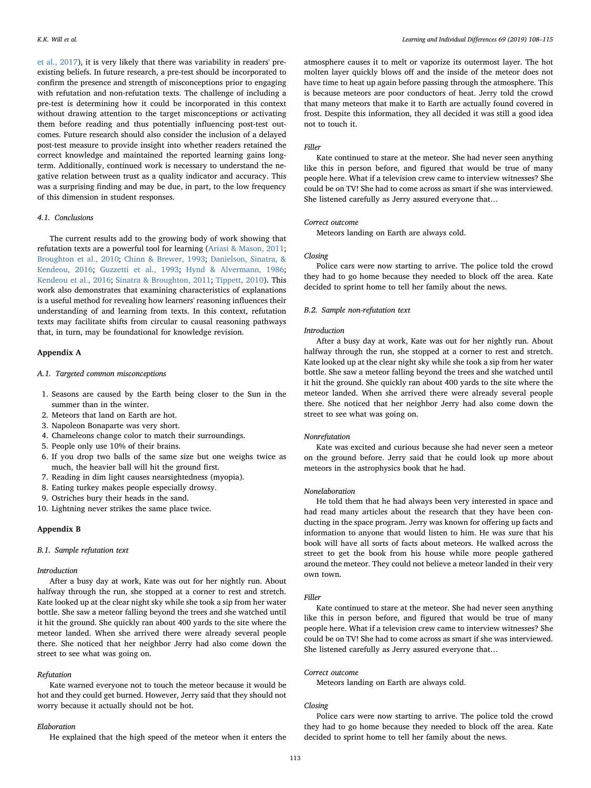[et al., 2017](#page-6-28)), it is very likely that there was variability in readers' preexisting beliefs. In future research, a pre-test should be incorporated to confirm the presence and strength of misconceptions prior to engaging with refutation and non-refutation texts. The challenge of including a pre-test is determining how it could be incorporated in this context without drawing attention to the target misconceptions or activating them before reading and thus potentially influencing post-test outcomes. Future research should also consider the inclusion of a delayed post-test measure to provide insight into whether readers retained the correct knowledge and maintained the reported learning gains longterm. Additionally, continued work is necessary to understand the negative relation between trust as a quality indicator and accuracy. This was a surprising finding and may be due, in part, to the low frequency of this dimension in student responses.

## 4.1. Conclusions

The current results add to the growing body of work showing that refutation texts are a powerful tool for learning [\(Ariasi & Mason, 2011](#page-6-12); [Broughton et al., 2010;](#page-6-13) [Chinn & Brewer, 1993;](#page-6-14) [Danielson, Sinatra, &](#page-6-67) [Kendeou, 2016;](#page-6-67) [Guzzetti et al., 1993](#page-6-15); [Hynd & Alvermann, 1986](#page-6-16); [Kendeou et al., 2016;](#page-6-10) [Sinatra & Broughton, 2011;](#page-6-8) [Tippett, 2010\)](#page-6-17). This work also demonstrates that examining characteristics of explanations is a useful method for revealing how learners' reasoning influences their understanding of and learning from texts. In this context, refutation texts may facilitate shifts from circular to causal reasoning pathways that, in turn, may be foundational for knowledge revision.

## <span id="page-5-0"></span>Appendix A

## A.1. Targeted common misconceptions

- 1. Seasons are caused by the Earth being closer to the Sun in the summer than in the winter.
- 2. Meteors that land on Earth are hot.
- 3. Napoleon Bonaparte was very short.
- 4. Chameleons change color to match their surroundings.
- 5. People only use 10% of their brains.
- 6. If you drop two balls of the same size but one weighs twice as much, the heavier ball will hit the ground first.
- 7. Reading in dim light causes nearsightedness (myopia).
- 8. Eating turkey makes people especially drowsy.
- 9. Ostriches bury their heads in the sand.
- 10. Lightning never strikes the same place twice.

#### <span id="page-5-1"></span>Appendix B

#### B.1. Sample refutation text

## Introduction

After a busy day at work, Kate was out for her nightly run. About halfway through the run, she stopped at a corner to rest and stretch. Kate looked up at the clear night sky while she took a sip from her water bottle. She saw a meteor falling beyond the trees and she watched until it hit the ground. She quickly ran about 400 yards to the site where the meteor landed. When she arrived there were already several people there. She noticed that her neighbor Jerry had also come down the street to see what was going on.

## Refutation

Kate warned everyone not to touch the meteor because it would be hot and they could get burned. However, Jerry said that they should not worry because it actually should not be hot.

#### Elaboration

He explained that the high speed of the meteor when it enters the

atmosphere causes it to melt or vaporize its outermost layer. The hot molten layer quickly blows off and the inside of the meteor does not have time to heat up again before passing through the atmosphere. This is because meteors are poor conductors of heat. Jerry told the crowd that many meteors that make it to Earth are actually found covered in frost. Despite this information, they all decided it was still a good idea not to touch it.

## Filler

Kate continued to stare at the meteor. She had never seen anything like this in person before, and figured that would be true of many people here. What if a television crew came to interview witnesses? She could be on TV! She had to come across as smart if she was interviewed. She listened carefully as Jerry assured everyone that…

## Correct outcome

Meteors landing on Earth are always cold.

## Closing

Police cars were now starting to arrive. The police told the crowd they had to go home because they needed to block off the area. Kate decided to sprint home to tell her family about the news.

## B.2. Sample non-refutation text

## Introduction

After a busy day at work, Kate was out for her nightly run. About halfway through the run, she stopped at a corner to rest and stretch. Kate looked up at the clear night sky while she took a sip from her water bottle. She saw a meteor falling beyond the trees and she watched until it hit the ground. She quickly ran about 400 yards to the site where the meteor landed. When she arrived there were already several people there. She noticed that her neighbor Jerry had also come down the street to see what was going on.

## Nonrefutation

Kate was excited and curious because she had never seen a meteor on the ground before. Jerry said that he could look up more about meteors in the astrophysics book that he had.

#### Nonelaboration

He told them that he had always been very interested in space and had read many articles about the research that they have been conducting in the space program. Jerry was known for offering up facts and information to anyone that would listen to him. He was sure that his book will have all sorts of facts about meteors. He walked across the street to get the book from his house while more people gathered around the meteor. They could not believe a meteor landed in their very own town.

## Filler

Kate continued to stare at the meteor. She had never seen anything like this in person before, and figured that would be true of many people here. What if a television crew came to interview witnesses? She could be on TV! She had to come across as smart if she was interviewed. She listened carefully as Jerry assured everyone that…

#### Correct outcome

Meteors landing on Earth are always cold.

## Closing

Police cars were now starting to arrive. The police told the crowd they had to go home because they needed to block off the area. Kate decided to sprint home to tell her family about the news.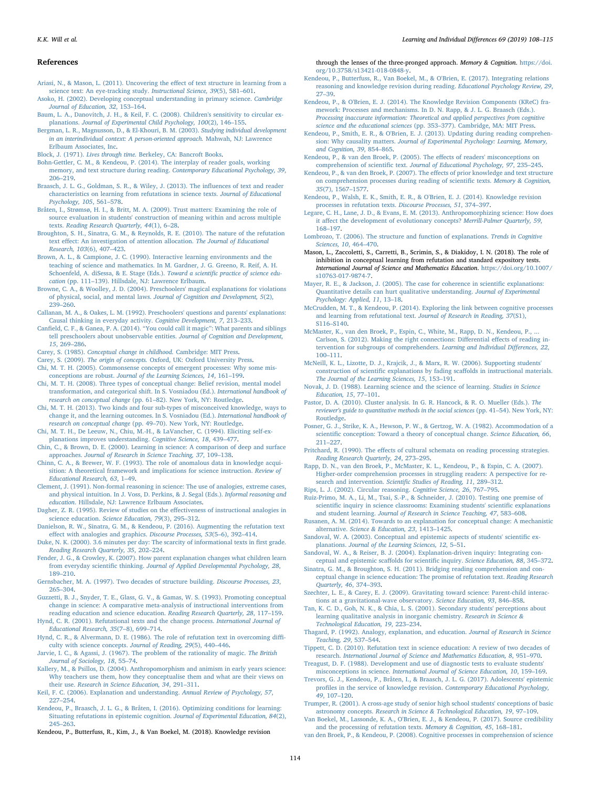#### References

- <span id="page-6-12"></span>[Ariasi, N., & Mason, L. \(2011\). Uncovering the e](http://refhub.elsevier.com/S1041-6080(18)30190-0/rf0005)ffect of text structure in learning from a [science text: An eye-tracking study.](http://refhub.elsevier.com/S1041-6080(18)30190-0/rf0005) Instructional Science, 39(5), 581–601.
- <span id="page-6-41"></span>[Asoko, H. \(2002\). Developing conceptual understanding in primary science.](http://refhub.elsevier.com/S1041-6080(18)30190-0/rf0010) Cambridge [Journal of Education, 32](http://refhub.elsevier.com/S1041-6080(18)30190-0/rf0010), 153–164.
- <span id="page-6-47"></span>[Baum, L. A., Danovitch, J. H., & Keil, F. C. \(2008\). Children's sensitivity to circular ex](http://refhub.elsevier.com/S1041-6080(18)30190-0/rf0015)planations. [Journal of Experimental Child Psychology, 100](http://refhub.elsevier.com/S1041-6080(18)30190-0/rf0015)(2), 146–155.
- <span id="page-6-54"></span>[Bergman, L. R., Magnusson, D., & El-Khouri, B. M. \(2003\).](http://refhub.elsevier.com/S1041-6080(18)30190-0/rf0020) Studying individual development [in an interindividual context: A person-oriented approach.](http://refhub.elsevier.com/S1041-6080(18)30190-0/rf0020) Mahwah, NJ: Lawrence [Erlbaum Associates, Inc](http://refhub.elsevier.com/S1041-6080(18)30190-0/rf0020).
- <span id="page-6-52"></span>Block, J. (1971). Lives through time. [Berkeley, CA: Bancroft Books](http://refhub.elsevier.com/S1041-6080(18)30190-0/rf0025).
- <span id="page-6-61"></span>[Bohn-Gettler, C. M., & Kendeou, P. \(2014\). The interplay of reader goals, working](http://refhub.elsevier.com/S1041-6080(18)30190-0/rf0030) [memory, and text structure during reading.](http://refhub.elsevier.com/S1041-6080(18)30190-0/rf0030) Contemporary Educational Psychology, 39, 206–[219](http://refhub.elsevier.com/S1041-6080(18)30190-0/rf0030).
- <span id="page-6-19"></span>[Braasch, J. L. G., Goldman, S. R., & Wiley, J. \(2013\). The in](http://refhub.elsevier.com/S1041-6080(18)30190-0/rf0035)fluences of text and reader [characteristics on learning from refutations in science texts.](http://refhub.elsevier.com/S1041-6080(18)30190-0/rf0035) Journal of Educational [Psychology, 105](http://refhub.elsevier.com/S1041-6080(18)30190-0/rf0035), 561–578.
- <span id="page-6-38"></span>[Bråten, I., Strømsø, H. I., & Britt, M. A. \(2009\). Trust matters: Examining the role of](http://refhub.elsevier.com/S1041-6080(18)30190-0/rf0040) [source evaluation in students' construction of meaning within and across multiple](http://refhub.elsevier.com/S1041-6080(18)30190-0/rf0040) texts. [Reading Research Quarterly, 44](http://refhub.elsevier.com/S1041-6080(18)30190-0/rf0040)(1), 6–28.
- <span id="page-6-13"></span>[Broughton, S. H., Sinatra, G. M., & Reynolds, R. E. \(2010\). The nature of the refutation](http://refhub.elsevier.com/S1041-6080(18)30190-0/rf0045) text eff[ect: An investigation of attention allocation.](http://refhub.elsevier.com/S1041-6080(18)30190-0/rf0045) The Journal of Educational [Research, 103](http://refhub.elsevier.com/S1041-6080(18)30190-0/rf0045)(6), 407–423.
- <span id="page-6-29"></span>[Brown, A. L., & Campione, J. C. \(1990\). Interactive learning environments and the](http://refhub.elsevier.com/S1041-6080(18)30190-0/rf0050) [teaching of science and mathematics. In M. Gardner, J. G. Greeno, R. Reif, A. H.](http://refhub.elsevier.com/S1041-6080(18)30190-0/rf0050) [Schoenfeld, A. diSessa, & E. Stage \(Eds.\).](http://refhub.elsevier.com/S1041-6080(18)30190-0/rf0050) Toward a scientific practice of science education (pp. 111–[139\). Hillsdale, NJ: Lawrence Erlbaum.](http://refhub.elsevier.com/S1041-6080(18)30190-0/rf0050)
- <span id="page-6-45"></span>[Browne, C. A., & Woolley, J. D. \(2004\). Preschoolers' magical explanations for violations](http://refhub.elsevier.com/S1041-6080(18)30190-0/rf0055) of physical, social, and mental laws. [Journal of Cognition and Development, 5](http://refhub.elsevier.com/S1041-6080(18)30190-0/rf0055)(2), 239–[260](http://refhub.elsevier.com/S1041-6080(18)30190-0/rf0055).
- <span id="page-6-33"></span>[Callanan, M. A., & Oakes, L. M. \(1992\). Preschoolers' questions and parents' explanations:](http://refhub.elsevier.com/S1041-6080(18)30190-0/rf0060) [Causal thinking in everyday activity.](http://refhub.elsevier.com/S1041-6080(18)30190-0/rf0060) Cognitive Development, 7, 213–233.
- <span id="page-6-46"></span>Canfi[eld, C. F., & Ganea, P. A. \(2014\).](http://refhub.elsevier.com/S1041-6080(18)30190-0/rf0065) "You could call it magic": What parents and siblings [tell preschoolers about unobservable entities.](http://refhub.elsevier.com/S1041-6080(18)30190-0/rf0065) Journal of Cognition and Development, 15[, 269](http://refhub.elsevier.com/S1041-6080(18)30190-0/rf0065)–286.
- <span id="page-6-9"></span>Carey, S. (1985). [Conceptual change in childhood.](http://refhub.elsevier.com/S1041-6080(18)30190-0/rf0070) Cambridge: MIT Press.
- <span id="page-6-1"></span><span id="page-6-0"></span>Carey, S. (2009). The origin of concepts. [Oxford, UK: Oxford University Press](http://refhub.elsevier.com/S1041-6080(18)30190-0/rf0075). [Chi, M. T. H. \(2005\). Commonsense concepts of emergent processes: Why some mis-](http://refhub.elsevier.com/S1041-6080(18)30190-0/rf0080)
- <span id="page-6-65"></span>conceptions are robust. [Journal of the Learning Sciences, 14](http://refhub.elsevier.com/S1041-6080(18)30190-0/rf0080), 161–199. [Chi, M. T. H. \(2008\). Three types of conceptual change: Belief revision, mental model](http://refhub.elsevier.com/S1041-6080(18)30190-0/rf0085) [transformation, and categorical shift. In S. Vosniadou \(Ed.\).](http://refhub.elsevier.com/S1041-6080(18)30190-0/rf0085) International handbook of research on conceptual change (pp. 61–[82\). New York, NY: Routledge.](http://refhub.elsevier.com/S1041-6080(18)30190-0/rf0085)
- <span id="page-6-66"></span>[Chi, M. T. H. \(2013\). Two kinds and four sub-types of misconceived knowledge, ways to](http://refhub.elsevier.com/S1041-6080(18)30190-0/rf0090) [change it, and the learning outcomes. In S. Vosniadou \(Ed.\).](http://refhub.elsevier.com/S1041-6080(18)30190-0/rf0090) International handbook of research on conceptual change (pp. 49–[70\). New York, NY: Routledge.](http://refhub.elsevier.com/S1041-6080(18)30190-0/rf0090)
- <span id="page-6-30"></span>[Chi, M. T. H., De Leeuw, N., Chiu, M.-H., & LaVancher, C. \(1994\). Eliciting self-ex](http://refhub.elsevier.com/S1041-6080(18)30190-0/rf0095)[planations improves understanding.](http://refhub.elsevier.com/S1041-6080(18)30190-0/rf0095) Cognitive Science, 18, 439–477.
- <span id="page-6-22"></span>[Chin, C., & Brown, D. E. \(2000\). Learning in science: A comparison of deep and surface](http://refhub.elsevier.com/S1041-6080(18)30190-0/rf0100) approaches. [Journal of Research in Science Teaching, 37](http://refhub.elsevier.com/S1041-6080(18)30190-0/rf0100), 109–138.
- <span id="page-6-14"></span>[Chinn, C. A., & Brewer, W. F. \(1993\). The role of anomalous data in knowledge acqui](http://refhub.elsevier.com/S1041-6080(18)30190-0/rf0105)[sition: A theoretical framework and implications for science instruction.](http://refhub.elsevier.com/S1041-6080(18)30190-0/rf0105) Review of [Educational Research, 63](http://refhub.elsevier.com/S1041-6080(18)30190-0/rf0105), 1–49.
- <span id="page-6-2"></span>[Clement, J. \(1991\). Non-formal reasoning in science: The use of analogies, extreme cases,](http://refhub.elsevier.com/S1041-6080(18)30190-0/rf0110) [and physical intuition. In J. Voss, D. Perkins, & J. Segal \(Eds.\).](http://refhub.elsevier.com/S1041-6080(18)30190-0/rf0110) Informal reasoning and education[. Hillsdale, NJ: Lawrence Erlbaum Associates.](http://refhub.elsevier.com/S1041-6080(18)30190-0/rf0110)
- <span id="page-6-34"></span>[Dagher, Z. R. \(1995\). Review of studies on the e](http://refhub.elsevier.com/S1041-6080(18)30190-0/rf0115)ffectiveness of instructional analogies in science education. [Science Education, 79](http://refhub.elsevier.com/S1041-6080(18)30190-0/rf0115)(3), 295–312.
- <span id="page-6-67"></span>[Danielson, R. W., Sinatra, G. M., & Kendeou, P. \(2016\). Augmenting the refutation text](http://refhub.elsevier.com/S1041-6080(18)30190-0/rf0120) eff[ect with analogies and graphics.](http://refhub.elsevier.com/S1041-6080(18)30190-0/rf0120) Discourse Processes, 53(5–6), 392–414.
- <span id="page-6-55"></span>[Duke, N. K. \(2000\). 3.6 minutes per day: The scarcity of informational texts in](http://refhub.elsevier.com/S1041-6080(18)30190-0/rf0130) first grade. [Reading Research Quarterly, 35](http://refhub.elsevier.com/S1041-6080(18)30190-0/rf0130), 202–224.
- <span id="page-6-39"></span>[Fender, J. G., & Crowley, K. \(2007\). How parent explanation changes what children learn](http://refhub.elsevier.com/S1041-6080(18)30190-0/rf0135) from everyday scientific thinking. [Journal of Applied Developmental Psychology, 28](http://refhub.elsevier.com/S1041-6080(18)30190-0/rf0135), 189–[210](http://refhub.elsevier.com/S1041-6080(18)30190-0/rf0135).
- <span id="page-6-60"></span>Gernsbacher, [M. A. \(1997\). Two decades of structure building.](http://refhub.elsevier.com/S1041-6080(18)30190-0/rf0140) Discourse Processes, 23, 265–[304](http://refhub.elsevier.com/S1041-6080(18)30190-0/rf0140).
- <span id="page-6-15"></span>[Guzzetti, B. J., Snyder, T. E., Glass, G. V., & Gamas, W. S. \(1993\). Promoting conceptual](http://refhub.elsevier.com/S1041-6080(18)30190-0/rf0145) [change in science: A comparative meta-analysis of instructional interventions from](http://refhub.elsevier.com/S1041-6080(18)30190-0/rf0145) [reading education and science education.](http://refhub.elsevier.com/S1041-6080(18)30190-0/rf0145) Reading Research Quarterly, 28, 117–159.
- <span id="page-6-11"></span>[Hynd, C. R. \(2001\). Refutational texts and the change process.](http://refhub.elsevier.com/S1041-6080(18)30190-0/rf0150) International Journal of [Educational Research, 35](http://refhub.elsevier.com/S1041-6080(18)30190-0/rf0150)(7–8), 699–714.
- <span id="page-6-16"></span>[Hynd, C. R., & Alvermann, D. E. \(1986\). The role of refutation text in overcoming di](http://refhub.elsevier.com/S1041-6080(18)30190-0/rf0155)ffi[culty with science concepts.](http://refhub.elsevier.com/S1041-6080(18)30190-0/rf0155) Journal of Reading, 29(5), 440–446.
- <span id="page-6-35"></span>[Jarvie, I. C., & Agassi, J. \(1967\). The problem of the rationality of magic.](http://refhub.elsevier.com/S1041-6080(18)30190-0/rf0160) The British [Journal of Sociology, 18](http://refhub.elsevier.com/S1041-6080(18)30190-0/rf0160), 55–74.
- <span id="page-6-43"></span>[Kallery, M., & Psillos, D. \(2004\). Anthropomorphism and animism in early years science:](http://refhub.elsevier.com/S1041-6080(18)30190-0/rf0165) [Why teachers use them, how they conceptualise them and what are their views on](http://refhub.elsevier.com/S1041-6080(18)30190-0/rf0165) their use. [Research in Science Education, 34](http://refhub.elsevier.com/S1041-6080(18)30190-0/rf0165), 291–311.
- <span id="page-6-48"></span>[Keil, F. C. \(2006\). Explanation and understanding.](http://refhub.elsevier.com/S1041-6080(18)30190-0/rf0170) Annual Review of Psychology, 57, 227–[254](http://refhub.elsevier.com/S1041-6080(18)30190-0/rf0170).
- <span id="page-6-10"></span>[Kendeou, P., Braasch, J. L. G., & Bråten, I. \(2016\). Optimizing conditions for learning:](http://refhub.elsevier.com/S1041-6080(18)30190-0/rf0175) [Situating refutations in epistemic cognition.](http://refhub.elsevier.com/S1041-6080(18)30190-0/rf0175) Journal of Experimental Education, 84(2), 245–[263](http://refhub.elsevier.com/S1041-6080(18)30190-0/rf0175).
- <span id="page-6-51"></span>Kendeou, P., Butterfuss, R., Kim, J., & Van Boekel, M. (2018). Knowledge revision

through the lenses of the three-pronged approach. Memory & Cognition. [https://doi.](https://doi.org/10.3758/s13421-018-0848-y) [org/10.3758/s13421-018-0848-y.](https://doi.org/10.3758/s13421-018-0848-y)

- <span id="page-6-26"></span>[Kendeou, P., Butterfuss, R., Van Boekel, M., & O'Brien, E. \(2017\). Integrating relations](http://refhub.elsevier.com/S1041-6080(18)30190-0/rf0185) [reasoning and knowledge revision during reading.](http://refhub.elsevier.com/S1041-6080(18)30190-0/rf0185) Educational Psychology Review, 29, 27–[39](http://refhub.elsevier.com/S1041-6080(18)30190-0/rf0185).
- <span id="page-6-23"></span>[Kendeou, P., & O'Brien, E. J. \(2014\). The Knowledge Revision Components \(KReC\) fra](http://refhub.elsevier.com/S1041-6080(18)30190-0/rf0190)[mework: Processes and mechanisms. In D. N. Rapp, & J. L. G. Braasch \(Eds.\).](http://refhub.elsevier.com/S1041-6080(18)30190-0/rf0190) [Processing inaccurate information: Theoretical and applied perspectives from cognitive](http://refhub.elsevier.com/S1041-6080(18)30190-0/rf0190) [science and the educational sciences](http://refhub.elsevier.com/S1041-6080(18)30190-0/rf0190) (pp. 353–377). Cambridge, MA: MIT Press.
- <span id="page-6-27"></span>[Kendeou, P., Smith, E. R., & O'Brien, E. J. \(2013\). Updating during reading comprehen](http://refhub.elsevier.com/S1041-6080(18)30190-0/rf0195)sion: Why causality matters. [Journal of Experimental Psychology: Learning, Memory,](http://refhub.elsevier.com/S1041-6080(18)30190-0/rf0195) [and Cognition, 39](http://refhub.elsevier.com/S1041-6080(18)30190-0/rf0195), 854–865.
- <span id="page-6-7"></span>[Kendeou, P., & van den Broek, P. \(2005\). The e](http://refhub.elsevier.com/S1041-6080(18)30190-0/rf0200)ffects of readers' misconceptions on comprehension of scientific text. Journal [of Educational Psychology, 97](http://refhub.elsevier.com/S1041-6080(18)30190-0/rf0200), 235–245.
- <span id="page-6-20"></span>[Kendeou, P., & van den Broek, P. \(2007\). The e](http://refhub.elsevier.com/S1041-6080(18)30190-0/rf0205)ffects of prior knowledge and text structure [on comprehension processes during reading of scienti](http://refhub.elsevier.com/S1041-6080(18)30190-0/rf0205)fic texts. Memory & Cognition, 35[\(7\), 1567](http://refhub.elsevier.com/S1041-6080(18)30190-0/rf0205)–1577.
- <span id="page-6-3"></span>[Kendeou, P., Walsh, E. K., Smith, E. R., & O'Brien, E. J. \(2014\). Knowledge revision](http://refhub.elsevier.com/S1041-6080(18)30190-0/rf0210) [processes in refutation texts.](http://refhub.elsevier.com/S1041-6080(18)30190-0/rf0210) Discourse Processes, 51, 374–397.
- <span id="page-6-44"></span>[Legare, C. H., Lane, J. D., & Evans, E. M. \(2013\). Anthropomorphizing science: How does](http://refhub.elsevier.com/S1041-6080(18)30190-0/rf0215) it aff[ect the development of evolutionary concepts?](http://refhub.elsevier.com/S1041-6080(18)30190-0/rf0215) Merrill-Palmer Quarterly, 59, 168–[197](http://refhub.elsevier.com/S1041-6080(18)30190-0/rf0215).
- <span id="page-6-32"></span>[Lombrozo, T. \(2006\). The structure and function of explanations.](http://refhub.elsevier.com/S1041-6080(18)30190-0/rf0220) Trends in Cognitive [Sciences, 10](http://refhub.elsevier.com/S1041-6080(18)30190-0/rf0220), 464–470.
- <span id="page-6-21"></span>Mason, L., Zaccoletti, S., Carretti, B., Scrimin, S., & Diakidoy, I. N. (2018). The role of inhibition in conceptual learning from refutation and standard expository tests. International Journal of Science and Mathematics Education. [https://doi.org/10.1007/](https://doi.org/10.1007/s10763-017-9874-7) [s10763-017-9874-7.](https://doi.org/10.1007/s10763-017-9874-7)
- <span id="page-6-50"></span>[Mayer, R. E., & Jackson, J. \(2005\). The case for coherence in scienti](http://refhub.elsevier.com/S1041-6080(18)30190-0/rf0230)fic explanations: [Quantitative details can hurt qualitative understanding.](http://refhub.elsevier.com/S1041-6080(18)30190-0/rf0230) Journal of Experimental [Psychology: Applied, 11](http://refhub.elsevier.com/S1041-6080(18)30190-0/rf0230), 13–18.
- <span id="page-6-24"></span>[McCrudden, M. T., & Kendeou, P. \(2014\). Exploring the link between cognitive processes](http://refhub.elsevier.com/S1041-6080(18)30190-0/rf0235) [and learning from refutational text.](http://refhub.elsevier.com/S1041-6080(18)30190-0/rf0235) Journal of Research in Reading, 37(S1), S116–[S140.](http://refhub.elsevier.com/S1041-6080(18)30190-0/rf0235)
- <span id="page-6-62"></span>[McMaster, K., van den Broek, P., Espin, C., White, M., Rapp, D. N., Kendeou, P., ...](http://refhub.elsevier.com/S1041-6080(18)30190-0/rf0240) [Carlson, S. \(2012\). Making the right connections: Di](http://refhub.elsevier.com/S1041-6080(18)30190-0/rf0240)fferential effects of reading in[tervention for subgroups of comprehenders.](http://refhub.elsevier.com/S1041-6080(18)30190-0/rf0240) Learning and Individual Differences, 22, 100–[111](http://refhub.elsevier.com/S1041-6080(18)30190-0/rf0240).
- <span id="page-6-64"></span>[McNeill, K. L., Lizotte, D. J., Krajcik, J., & Marx, R. W. \(2006\). Supporting students'](http://refhub.elsevier.com/S1041-6080(18)30190-0/rf0245) construction of scientific explanations by fading scaff[olds in instructional materials.](http://refhub.elsevier.com/S1041-6080(18)30190-0/rf0245) [The Journal of the Learning Sciences, 15](http://refhub.elsevier.com/S1041-6080(18)30190-0/rf0245), 153–191.
- <span id="page-6-4"></span>[Novak, J. D. \(1988\). Learning science and the science of learning.](http://refhub.elsevier.com/S1041-6080(18)30190-0/rf0250) Studies in Science [Education, 15](http://refhub.elsevier.com/S1041-6080(18)30190-0/rf0250), 77–101.
- <span id="page-6-59"></span>[Pastor, D. A. \(2010\). Cluster analysis. In G. R. Hancock, & R. O. Mueller \(Eds.\).](http://refhub.elsevier.com/S1041-6080(18)30190-0/rf0255) The reviewer's [guide to quantitative methods in the social sciences](http://refhub.elsevier.com/S1041-6080(18)30190-0/rf0255) (pp. 41–54). New York, NY: [Routledge](http://refhub.elsevier.com/S1041-6080(18)30190-0/rf0255).
- <span id="page-6-5"></span>[Posner, G. J., Strike, K. A., Hewson, P. W., & Gertzog, W. A. \(1982\). Accommodation of a](http://refhub.elsevier.com/S1041-6080(18)30190-0/rf0260) scientifi[c conception: Toward a theory of conceptual change.](http://refhub.elsevier.com/S1041-6080(18)30190-0/rf0260) Science Education, 66, 211–[227](http://refhub.elsevier.com/S1041-6080(18)30190-0/rf0260).
- <span id="page-6-49"></span>Pritchard, R. (1990). The eff[ects of cultural schemata on reading processing strategies.](http://refhub.elsevier.com/S1041-6080(18)30190-0/rf0265) [Reading Research Quarterly, 24](http://refhub.elsevier.com/S1041-6080(18)30190-0/rf0265), 273–295.
- <span id="page-6-63"></span>[Rapp, D. N., van den Broek, P., McMaster, K. L., Kendeou, P., & Espin, C. A. \(2007\).](http://refhub.elsevier.com/S1041-6080(18)30190-0/rf0270) [Higher-order comprehension processes in struggling readers: A perspective for re](http://refhub.elsevier.com/S1041-6080(18)30190-0/rf0270)[search and intervention.](http://refhub.elsevier.com/S1041-6080(18)30190-0/rf0270) Scientific Studies of Reading, 11, 289–312.

<span id="page-6-36"></span>[Rips, L. J. \(2002\). Circular reasoning.](http://refhub.elsevier.com/S1041-6080(18)30190-0/rf0275) Cognitive Science, 26, 767–795.

<span id="page-6-58"></span>[Ruiz-Primo, M. A., Li, M., Tsai, S.-P., & Schneider, J. \(2010\). Testing one premise of](http://refhub.elsevier.com/S1041-6080(18)30190-0/rf0280) scientifi[c inquiry in science classrooms: Examining students' scienti](http://refhub.elsevier.com/S1041-6080(18)30190-0/rf0280)fic explanations and student learning. [Journal of Research in Science Teaching, 47](http://refhub.elsevier.com/S1041-6080(18)30190-0/rf0280), 583–608.

- <span id="page-6-18"></span>[Rusanen, A. M. \(2014\). Towards to an explanation for conceptual change: A mechanistic](http://refhub.elsevier.com/S1041-6080(18)30190-0/rf0285) alternative. [Science & Education, 23](http://refhub.elsevier.com/S1041-6080(18)30190-0/rf0285), 1413–1425.
- <span id="page-6-40"></span>[Sandoval, W. A. \(2003\). Conceptual and epistemic aspects of students' scienti](http://refhub.elsevier.com/S1041-6080(18)30190-0/rf0290)fic explanations. [Journal of the Learning Sciences, 12](http://refhub.elsevier.com/S1041-6080(18)30190-0/rf0290), 5–51.
- <span id="page-6-31"></span>[Sandoval, W. A., & Reiser, B. J. \(2004\). Explanation-driven inquiry: Integrating con](http://refhub.elsevier.com/S1041-6080(18)30190-0/rf0295)[ceptual and epistemic sca](http://refhub.elsevier.com/S1041-6080(18)30190-0/rf0295)ffolds for scientific inquiry. Science Education, 88, 345–372.
- <span id="page-6-8"></span>[Sinatra, G. M., & Broughton, S. H. \(2011\). Bridging reading comprehension and con](http://refhub.elsevier.com/S1041-6080(18)30190-0/rf0300)[ceptual change in science education: The promise of refutation text.](http://refhub.elsevier.com/S1041-6080(18)30190-0/rf0300) Reading Research [Quarterly, 46](http://refhub.elsevier.com/S1041-6080(18)30190-0/rf0300), 374–393.
- <span id="page-6-42"></span>[Szechter, L. E., & Carey, E. J. \(2009\). Gravitating toward science: Parent-child interac](http://refhub.elsevier.com/S1041-6080(18)30190-0/rf0305)[tions at a gravitational-wave observatory.](http://refhub.elsevier.com/S1041-6080(18)30190-0/rf0305) Science Education, 93, 846–858.
- <span id="page-6-56"></span>[Tan, K. C. D., Goh, N. K., & Chia, L. S. \(2001\). Secondary students' perceptions about](http://refhub.elsevier.com/S1041-6080(18)30190-0/rf0310) [learning qualitative analysis in inorganic chemistry.](http://refhub.elsevier.com/S1041-6080(18)30190-0/rf0310) Research in Science & [Technological Education, 19](http://refhub.elsevier.com/S1041-6080(18)30190-0/rf0310), 223–234.
- <span id="page-6-37"></span>Thagard, [P. \(1992\). Analogy, explanation, and education.](http://refhub.elsevier.com/S1041-6080(18)30190-0/rf0315) Journal of Research in Science [Teaching, 29](http://refhub.elsevier.com/S1041-6080(18)30190-0/rf0315), 537–544.
- <span id="page-6-17"></span>[Tippett, C. D. \(2010\). Refutation text in science education: A review of two decades of](http://refhub.elsevier.com/S1041-6080(18)30190-0/rf0320) research. [International Journal of Science and Mathematics Education, 8](http://refhub.elsevier.com/S1041-6080(18)30190-0/rf0320), 951–970.
- <span id="page-6-57"></span>[Treagust, D. F. \(1988\). Development and use of diagnostic tests to evaluate students'](http://refhub.elsevier.com/S1041-6080(18)30190-0/rf0325) misconceptions in science. [International Journal of Science Education, 10](http://refhub.elsevier.com/S1041-6080(18)30190-0/rf0325), 159–169.
- <span id="page-6-53"></span>[Trevors, G. J., Kendeou, P., Bråten, I., & Braasch, J. L. G. \(2017\). Adolescents' epistemic](http://refhub.elsevier.com/S1041-6080(18)30190-0/rf0330) profi[les in the service of knowledge revision.](http://refhub.elsevier.com/S1041-6080(18)30190-0/rf0330) Contemporary Educational Psychology, 49[, 107](http://refhub.elsevier.com/S1041-6080(18)30190-0/rf0330)–120.
- <span id="page-6-6"></span>[Trumper, R. \(2001\). A cross-age study of senior high school students' conceptions of basic](http://refhub.elsevier.com/S1041-6080(18)30190-0/rf0335) astronomy concepts. [Research in Science & Technological Education, 19](http://refhub.elsevier.com/S1041-6080(18)30190-0/rf0335), 97–109.
- <span id="page-6-28"></span>[Van Boekel, M., Lassonde, K. A., O'Brien, E. J., & Kendeou, P. \(2017\). Source credibility](http://refhub.elsevier.com/S1041-6080(18)30190-0/rf0340) [and the processing of refutation texts.](http://refhub.elsevier.com/S1041-6080(18)30190-0/rf0340) Memory & Cognition, 45, 168–181.
- <span id="page-6-25"></span>[van den Broek, P., & Kendeou, P. \(2008\). Cognitive processes in comprehension of science](http://refhub.elsevier.com/S1041-6080(18)30190-0/rf0345)